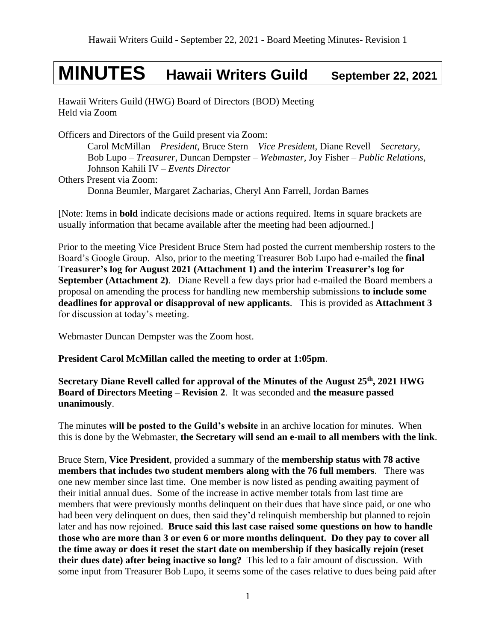# **MINUTES Hawaii Writers Guild September 22, 2021**

Hawaii Writers Guild (HWG) Board of Directors (BOD) Meeting Held via Zoom

Officers and Directors of the Guild present via Zoom: Carol McMillan – *President*, Bruce Stern – *Vice President*, Diane Revell – *Secretary*, Bob Lupo – *Treasurer,* Duncan Dempster – *Webmaster,* Joy Fisher – *Public Relations,* Johnson Kahili IV – *Events Director* Others Present via Zoom: Donna Beumler, Margaret Zacharias, Cheryl Ann Farrell, Jordan Barnes

[Note: Items in **bold** indicate decisions made or actions required. Items in square brackets are usually information that became available after the meeting had been adjourned.]

Prior to the meeting Vice President Bruce Stern had posted the current membership rosters to the Board's Google Group. Also, prior to the meeting Treasurer Bob Lupo had e-mailed the **final Treasurer's log for August 2021 (Attachment 1) and the interim Treasurer's log for September (Attachment 2)**. Diane Revell a few days prior had e-mailed the Board members a proposal on amending the process for handling new membership submissions **to include some deadlines for approval or disapproval of new applicants**. This is provided as **Attachment 3** for discussion at today's meeting.

Webmaster Duncan Dempster was the Zoom host.

**President Carol McMillan called the meeting to order at 1:05pm**.

**Secretary Diane Revell called for approval of the Minutes of the August 25 th , 2021 HWG Board of Directors Meeting – Revision 2**.It was seconded and **the measure passed unanimously**.

The minutes **will be posted to the Guild's website** in an archive location for minutes. When this is done by the Webmaster, **the Secretary will send an e-mail to all members with the link**.

Bruce Stern, **Vice President**, provided a summary of the **membership status with 78 active members that includes two student members along with the 76 full members**. There was one new member since last time. One member is now listed as pending awaiting payment of their initial annual dues. Some of the increase in active member totals from last time are members that were previously months delinquent on their dues that have since paid, or one who had been very delinquent on dues, then said they'd relinquish membership but planned to rejoin later and has now rejoined. **Bruce said this last case raised some questions on how to handle those who are more than 3 or even 6 or more months delinquent. Do they pay to cover all the time away or does it reset the start date on membership if they basically rejoin (reset their dues date) after being inactive so long?** This led to a fair amount of discussion. With some input from Treasurer Bob Lupo, it seems some of the cases relative to dues being paid after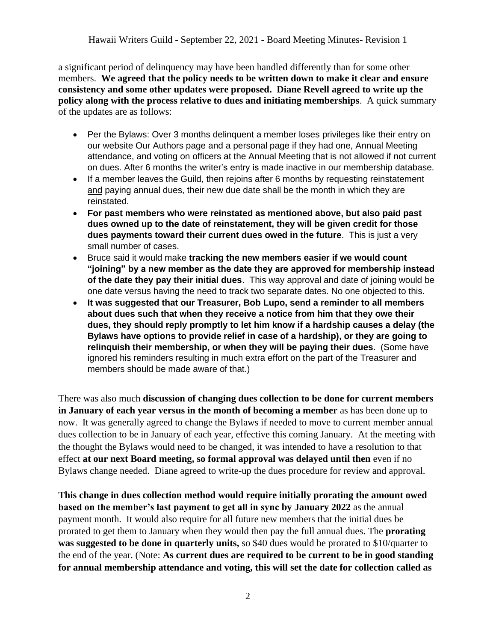a significant period of delinquency may have been handled differently than for some other members. **We agreed that the policy needs to be written down to make it clear and ensure consistency and some other updates were proposed. Diane Revell agreed to write up the policy along with the process relative to dues and initiating memberships**. A quick summary of the updates are as follows:

- Per the Bylaws: Over 3 months delinguent a member loses privileges like their entry on our website Our Authors page and a personal page if they had one, Annual Meeting attendance, and voting on officers at the Annual Meeting that is not allowed if not current on dues. After 6 months the writer's entry is made inactive in our membership database.
- If a member leaves the Guild, then reioins after 6 months by requesting reinstatement and paying annual dues, their new due date shall be the month in which they are reinstated.
- **For past members who were reinstated as mentioned above, but also paid past dues owned up to the date of reinstatement, they will be given credit for those dues payments toward their current dues owed in the future**. This is just a very small number of cases.
- Bruce said it would make **tracking the new members easier if we would count "joining" by a new member as the date they are approved for membership instead of the date they pay their initial dues**. This way approval and date of joining would be one date versus having the need to track two separate dates. No one objected to this.
- **It was suggested that our Treasurer, Bob Lupo, send a reminder to all members about dues such that when they receive a notice from him that they owe their dues, they should reply promptly to let him know if a hardship causes a delay (the Bylaws have options to provide relief in case of a hardship), or they are going to relinquish their membership, or when they will be paying their dues**. (Some have ignored his reminders resulting in much extra effort on the part of the Treasurer and members should be made aware of that.)

There was also much **discussion of changing dues collection to be done for current members in January of each year versus in the month of becoming a member** as has been done up to now. It was generally agreed to change the Bylaws if needed to move to current member annual dues collection to be in January of each year, effective this coming January. At the meeting with the thought the Bylaws would need to be changed, it was intended to have a resolution to that effect **at our next Board meeting, so formal approval was delayed until then** even if no Bylaws change needed. Diane agreed to write-up the dues procedure for review and approval.

**This change in dues collection method would require initially prorating the amount owed based on the member's last payment to get all in sync by January 2022** as the annual payment month. It would also require for all future new members that the initial dues be prorated to get them to January when they would then pay the full annual dues. The **prorating was suggested to be done in quarterly units,** so \$40 dues would be prorated to \$10/quarter to the end of the year. (Note: **As current dues are required to be current to be in good standing for annual membership attendance and voting, this will set the date for collection called as**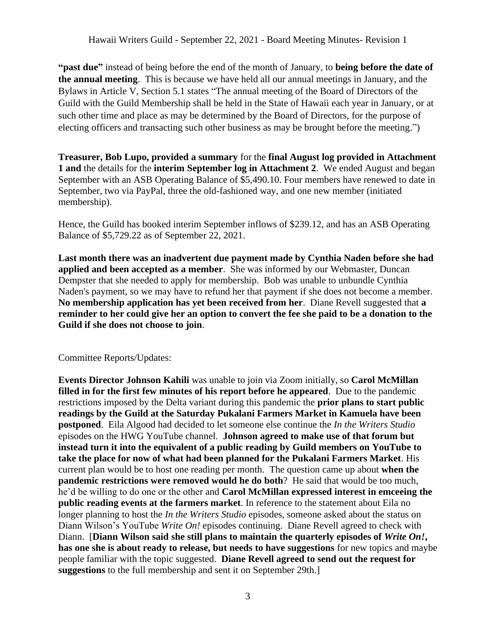**"past due"** instead of being before the end of the month of January, to **being before the date of the annual meeting**. This is because we have held all our annual meetings in January, and the Bylaws in Article V, Section 5.1 states "The annual meeting of the Board of Directors of the Guild with the Guild Membership shall be held in the State of Hawaii each year in January, or at such other time and place as may be determined by the Board of Directors, for the purpose of electing officers and transacting such other business as may be brought before the meeting.")

**Treasurer, Bob Lupo, provided a summary** for the **final August log provided in Attachment 1 and** the details for the **interim September log in Attachment 2**. We ended August and began September with an ASB Operating Balance of \$5,490.10. Four members have renewed to date in September, two via PayPal, three the old-fashioned way, and one new member (initiated membership).

Hence, the Guild has booked interim September inflows of \$239.12, and has an ASB Operating Balance of \$5,729.22 as of September 22, 2021.

**Last month there was an inadvertent due payment made by Cynthia Naden before she had applied and been accepted as a member**. She was informed by our Webmaster, Duncan Dempster that she needed to apply for membership. Bob was unable to unbundle Cynthia Naden's payment, so we may have to refund her that payment if she does not become a member. **No membership application has yet been received from her**. Diane Revell suggested that **a reminder to her could give her an option to convert the fee she paid to be a donation to the Guild if she does not choose to join**.

#### Committee Reports/Updates:

**Events Director Johnson Kahili** was unable to join via Zoom initially, so **Carol McMillan filled in for the first few minutes of his report before he appeared**. Due to the pandemic restrictions imposed by the Delta variant during this pandemic the **prior plans to start public readings by the Guild at the Saturday Pukalani Farmers Market in Kamuela have been postponed**. Eila Algood had decided to let someone else continue the *In the Writers Studio* episodes on the HWG YouTube channel. **Johnson agreed to make use of that forum but instead turn it into the equivalent of a public reading by Guild members on YouTube to take the place for now of what had been planned for the Pukalani Farmers Market**. His current plan would be to host one reading per month. The question came up about **when the pandemic restrictions were removed would he do both**? He said that would be too much, he'd be willing to do one or the other and **Carol McMillan expressed interest in emceeing the public reading events at the farmers market**. In reference to the statement about Eila no longer planning to host the *In the Writers Studio* episodes, someone asked about the status on Diann Wilson's YouTube *Write On!* episodes continuing. Diane Revell agreed to check with Diann. [**Diann Wilson said she still plans to maintain the quarterly episodes of** *Write On!***, has one she is about ready to release, but needs to have suggestions** for new topics and maybe people familiar with the topic suggested. **Diane Revell agreed to send out the request for suggestions** to the full membership and sent it on September 29th.]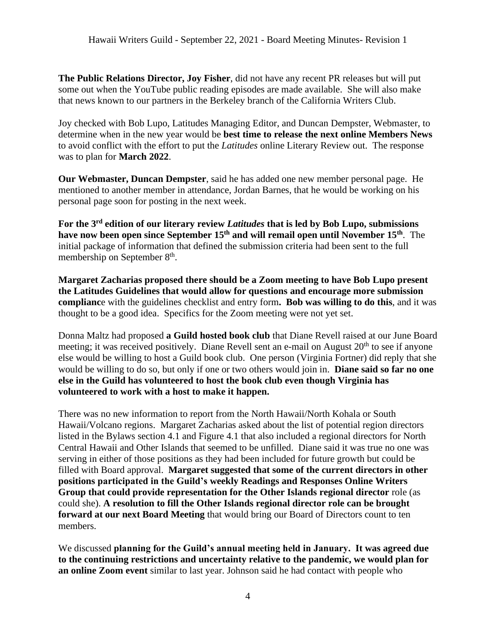**The Public Relations Director, Joy Fisher**, did not have any recent PR releases but will put some out when the YouTube public reading episodes are made available. She will also make that news known to our partners in the Berkeley branch of the California Writers Club.

Joy checked with Bob Lupo, Latitudes Managing Editor, and Duncan Dempster, Webmaster, to determine when in the new year would be **best time to release the next online Members News** to avoid conflict with the effort to put the *Latitudes* online Literary Review out. The response was to plan for **March 2022**.

**Our Webmaster, Duncan Dempster**, said he has added one new member personal page. He mentioned to another member in attendance, Jordan Barnes, that he would be working on his personal page soon for posting in the next week.

**For the 3rd edition of our literary review** *Latitudes* **that is led by Bob Lupo, submissions have now been open since September 15th and will remail open until November 15th** . The initial package of information that defined the submission criteria had been sent to the full membership on September 8<sup>th</sup>.

**Margaret Zacharias proposed there should be a Zoom meeting to have Bob Lupo present the Latitudes Guidelines that would allow for questions and encourage more submission complianc**e with the guidelines checklist and entry form**. Bob was willing to do this**, and it was thought to be a good idea. Specifics for the Zoom meeting were not yet set.

Donna Maltz had proposed **a Guild hosted book club** that Diane Revell raised at our June Board meeting; it was received positively. Diane Revell sent an e-mail on August 20<sup>th</sup> to see if anyone else would be willing to host a Guild book club. One person (Virginia Fortner) did reply that she would be willing to do so, but only if one or two others would join in. **Diane said so far no one else in the Guild has volunteered to host the book club even though Virginia has volunteered to work with a host to make it happen.**

There was no new information to report from the North Hawaii/North Kohala or South Hawaii/Volcano regions. Margaret Zacharias asked about the list of potential region directors listed in the Bylaws section 4.1 and Figure 4.1 that also included a regional directors for North Central Hawaii and Other Islands that seemed to be unfilled. Diane said it was true no one was serving in either of those positions as they had been included for future growth but could be filled with Board approval. **Margaret suggested that some of the current directors in other positions participated in the Guild's weekly Readings and Responses Online Writers Group that could provide representation for the Other Islands regional director** role (as could she). **A resolution to fill the Other Islands regional director role can be brought forward at our next Board Meeting** that would bring our Board of Directors count to ten members.

We discussed **planning for the Guild's annual meeting held in January. It was agreed due to the continuing restrictions and uncertainty relative to the pandemic, we would plan for an online Zoom event** similar to last year. Johnson said he had contact with people who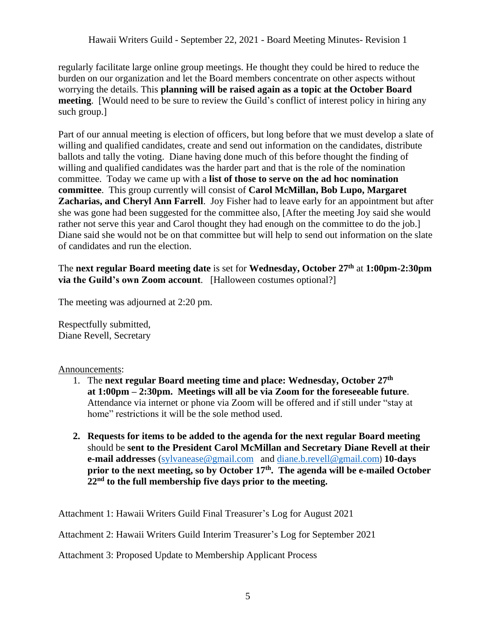regularly facilitate large online group meetings. He thought they could be hired to reduce the burden on our organization and let the Board members concentrate on other aspects without worrying the details. This **planning will be raised again as a topic at the October Board meeting.** [Would need to be sure to review the Guild's conflict of interest policy in hiring any such group.]

Part of our annual meeting is election of officers, but long before that we must develop a slate of willing and qualified candidates, create and send out information on the candidates, distribute ballots and tally the voting. Diane having done much of this before thought the finding of willing and qualified candidates was the harder part and that is the role of the nomination committee. Today we came up with a **list of those to serve on the ad hoc nomination committee**. This group currently will consist of **Carol McMillan, Bob Lupo, Margaret Zacharias, and Cheryl Ann Farrell**. Joy Fisher had to leave early for an appointment but after she was gone had been suggested for the committee also, [After the meeting Joy said she would rather not serve this year and Carol thought they had enough on the committee to do the job. Diane said she would not be on that committee but will help to send out information on the slate of candidates and run the election.

### The **next regular Board meeting date** is set for **Wednesday, October 27 th** at **1:00pm-2:30pm via the Guild's own Zoom account**. [Halloween costumes optional?]

The meeting was adjourned at 2:20 pm.

Respectfully submitted, Diane Revell, Secretary

#### Announcements:

- 1. The **next regular Board meeting time and place: Wednesday, October 27 th at 1:00pm – 2:30pm. Meetings will all be via Zoom for the foreseeable future**. Attendance via internet or phone via Zoom will be offered and if still under "stay at home" restrictions it will be the sole method used.
- **2. Requests for items to be added to the agenda for the next regular Board meeting** should be **sent to the President Carol McMillan and Secretary Diane Revell at their e-mail addresses** [\(sylvanease@gmail.com](mailto:sylvanease@gmail.com) and [diane.b.revell@](mailto:diane.b.revell@gmail.com)gmail.com) **10-days prior to the next meeting, so by October 17 th . The agenda will be e-mailed October 22nd to the full membership five days prior to the meeting.**

Attachment 1: Hawaii Writers Guild Final Treasurer's Log for August 2021

Attachment 2: Hawaii Writers Guild Interim Treasurer's Log for September 2021

Attachment 3: Proposed Update to Membership Applicant Process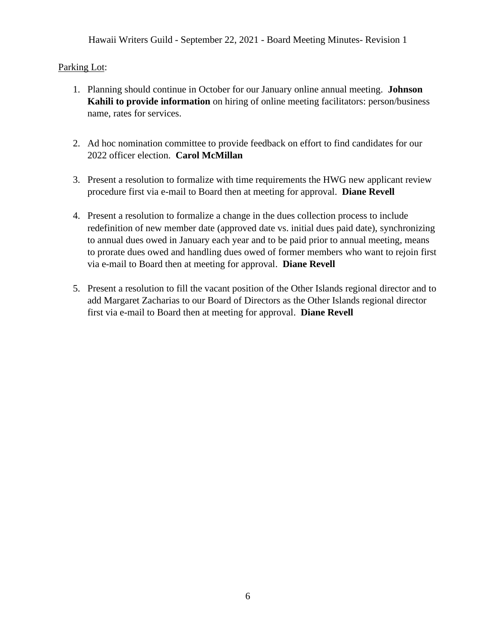Hawaii Writers Guild - September 22, 2021 - Board Meeting Minutes- Revision 1

## Parking Lot:

- 1. Planning should continue in October for our January online annual meeting. **Johnson Kahili to provide information** on hiring of online meeting facilitators: person/business name, rates for services.
- 2. Ad hoc nomination committee to provide feedback on effort to find candidates for our 2022 officer election. **Carol McMillan**
- 3. Present a resolution to formalize with time requirements the HWG new applicant review procedure first via e-mail to Board then at meeting for approval. **Diane Revell**
- 4. Present a resolution to formalize a change in the dues collection process to include redefinition of new member date (approved date vs. initial dues paid date), synchronizing to annual dues owed in January each year and to be paid prior to annual meeting, means to prorate dues owed and handling dues owed of former members who want to rejoin first via e-mail to Board then at meeting for approval. **Diane Revell**
- 5. Present a resolution to fill the vacant position of the Other Islands regional director and to add Margaret Zacharias to our Board of Directors as the Other Islands regional director first via e-mail to Board then at meeting for approval. **Diane Revell**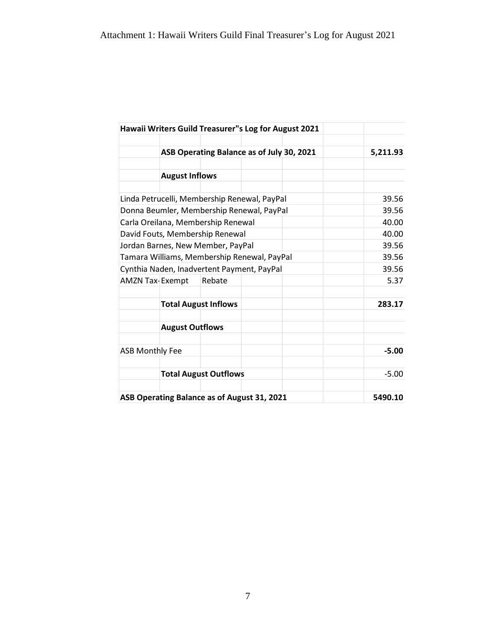| Hawaii Writers Guild Treasurer"s Log for August 2021 |                             |  |         |         |
|------------------------------------------------------|-----------------------------|--|---------|---------|
| ASB Operating Balance as of July 30, 2021            | 5,211.93                    |  |         |         |
|                                                      |                             |  |         |         |
|                                                      | <b>August Inflows</b>       |  |         |         |
|                                                      |                             |  |         |         |
| Linda Petrucelli, Membership Renewal, PayPal         | 39.56                       |  |         |         |
| Donna Beumler, Membership Renewal, PayPal            | 39.56                       |  |         |         |
| Carla Oreilana, Membership Renewal                   |                             |  |         | 40.00   |
| David Fouts, Membership Renewal                      |                             |  |         | 40.00   |
| Jordan Barnes, New Member, PayPal                    |                             |  |         | 39.56   |
| Tamara Williams, Membership Renewal, PayPal          |                             |  |         | 39.56   |
| Cynthia Naden, Inadvertent Payment, PayPal           |                             |  |         | 39.56   |
| <b>AMZN Tax-Exempt</b>                               | Rebate                      |  |         | 5.37    |
|                                                      | <b>Total August Inflows</b> |  |         | 283.17  |
| <b>August Outflows</b>                               |                             |  |         |         |
| <b>ASB Monthly Fee</b>                               |                             |  | $-5.00$ |         |
| <b>Total August Outflows</b>                         |                             |  | $-5.00$ |         |
| ASB Operating Balance as of August 31, 2021          |                             |  |         | 5490.10 |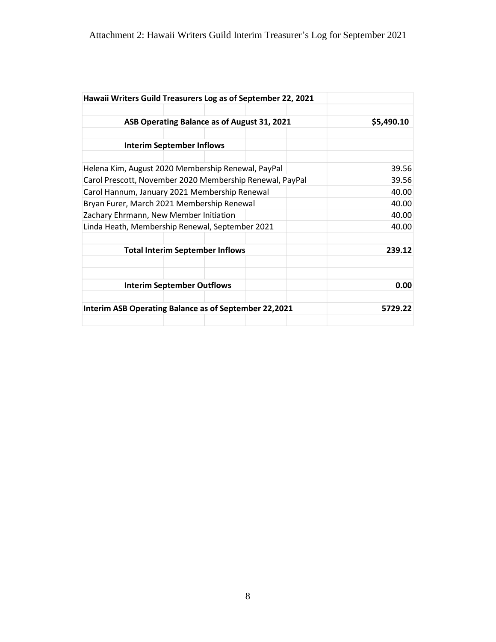| Hawaii Writers Guild Treasurers Log as of September 22, 2021 |            |
|--------------------------------------------------------------|------------|
| ASB Operating Balance as of August 31, 2021                  | \$5,490.10 |
| <b>Interim September Inflows</b>                             |            |
| Helena Kim, August 2020 Membership Renewal, PayPal           | 39.56      |
| Carol Prescott, November 2020 Membership Renewal, PayPal     | 39.56      |
| Carol Hannum, January 2021 Membership Renewal                | 40.00      |
| Bryan Furer, March 2021 Membership Renewal                   | 40.00      |
| Zachary Ehrmann, New Member Initiation                       | 40.00      |
| Linda Heath, Membership Renewal, September 2021              | 40.00      |
| <b>Total Interim September Inflows</b>                       | 239.12     |
| <b>Interim September Outflows</b>                            | 0.00       |
| Interim ASB Operating Balance as of September 22,2021        | 5729.22    |